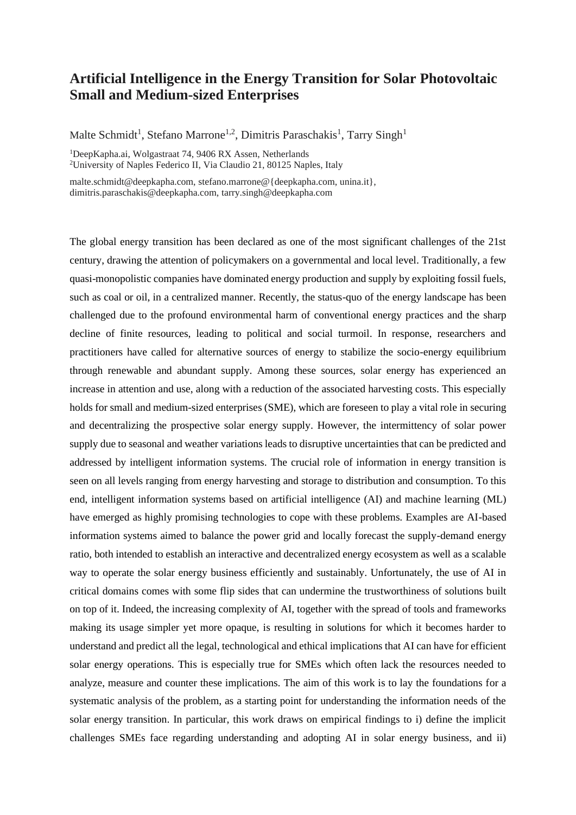## **Artificial Intelligence in the Energy Transition for Solar Photovoltaic Small and Medium-sized Enterprises**

Malte Schmidt<sup>1</sup>, Stefano Marrone<sup>1,2</sup>, Dimitris Paraschakis<sup>1</sup>, Tarry Singh<sup>1</sup>

<sup>1</sup>DeepKapha.ai, Wolgastraat 74, 9406 RX Assen, Netherlands

<sup>2</sup>University of Naples Federico II, Via Claudio 21, 80125 Naples, Italy

malte.schmidt@deepkapha.com, stefano.marrone@{deepkapha.com, unina.it}, dimitris.paraschakis@deepkapha.com, tarry.singh@deepkapha.com

The global energy transition has been declared as one of the most significant challenges of the 21st century, drawing the attention of policymakers on a governmental and local level. Traditionally, a few quasi-monopolistic companies have dominated energy production and supply by exploiting fossil fuels, such as coal or oil, in a centralized manner. Recently, the status-quo of the energy landscape has been challenged due to the profound environmental harm of conventional energy practices and the sharp decline of finite resources, leading to political and social turmoil. In response, researchers and practitioners have called for alternative sources of energy to stabilize the socio-energy equilibrium through renewable and abundant supply. Among these sources, solar energy has experienced an increase in attention and use, along with a reduction of the associated harvesting costs. This especially holds for small and medium-sized enterprises (SME), which are foreseen to play a vital role in securing and decentralizing the prospective solar energy supply. However, the intermittency of solar power supply due to seasonal and weather variations leads to disruptive uncertainties that can be predicted and addressed by intelligent information systems. The crucial role of information in energy transition is seen on all levels ranging from energy harvesting and storage to distribution and consumption. To this end, intelligent information systems based on artificial intelligence (AI) and machine learning (ML) have emerged as highly promising technologies to cope with these problems. Examples are AI-based information systems aimed to balance the power grid and locally forecast the supply-demand energy ratio, both intended to establish an interactive and decentralized energy ecosystem as well as a scalable way to operate the solar energy business efficiently and sustainably. Unfortunately, the use of AI in critical domains comes with some flip sides that can undermine the trustworthiness of solutions built on top of it. Indeed, the increasing complexity of AI, together with the spread of tools and frameworks making its usage simpler yet more opaque, is resulting in solutions for which it becomes harder to understand and predict all the legal, technological and ethical implications that AI can have for efficient solar energy operations. This is especially true for SMEs which often lack the resources needed to analyze, measure and counter these implications. The aim of this work is to lay the foundations for a systematic analysis of the problem, as a starting point for understanding the information needs of the solar energy transition. In particular, this work draws on empirical findings to i) define the implicit challenges SMEs face regarding understanding and adopting AI in solar energy business, and ii)